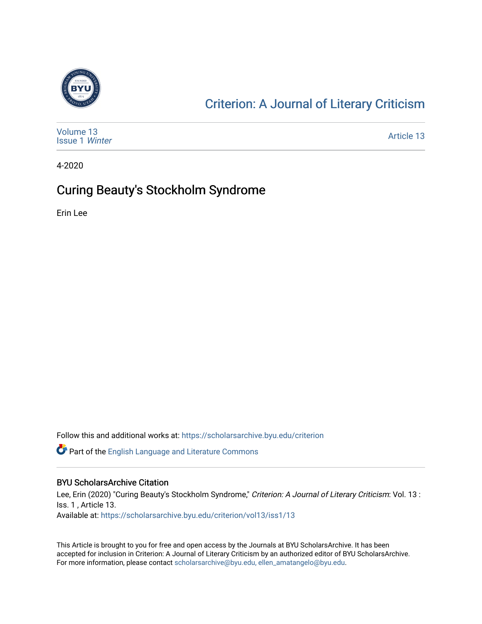

## [Criterion: A Journal of Literary Criticism](https://scholarsarchive.byu.edu/criterion)

| Volume 13<br><b>Issue 1 Winter</b> | Article 13 |
|------------------------------------|------------|
|------------------------------------|------------|

4-2020

### Curing Beauty's Stockholm Syndrome

Erin Lee

Follow this and additional works at: [https://scholarsarchive.byu.edu/criterion](https://scholarsarchive.byu.edu/criterion?utm_source=scholarsarchive.byu.edu%2Fcriterion%2Fvol13%2Fiss1%2F13&utm_medium=PDF&utm_campaign=PDFCoverPages) 

**P** Part of the [English Language and Literature Commons](http://network.bepress.com/hgg/discipline/455?utm_source=scholarsarchive.byu.edu%2Fcriterion%2Fvol13%2Fiss1%2F13&utm_medium=PDF&utm_campaign=PDFCoverPages)

### BYU ScholarsArchive Citation

Lee, Erin (2020) "Curing Beauty's Stockholm Syndrome," Criterion: A Journal of Literary Criticism: Vol. 13 : Iss. 1 , Article 13. Available at: [https://scholarsarchive.byu.edu/criterion/vol13/iss1/13](https://scholarsarchive.byu.edu/criterion/vol13/iss1/13?utm_source=scholarsarchive.byu.edu%2Fcriterion%2Fvol13%2Fiss1%2F13&utm_medium=PDF&utm_campaign=PDFCoverPages) 

This Article is brought to you for free and open access by the Journals at BYU ScholarsArchive. It has been accepted for inclusion in Criterion: A Journal of Literary Criticism by an authorized editor of BYU ScholarsArchive. For more information, please contact [scholarsarchive@byu.edu, ellen\\_amatangelo@byu.edu](mailto:scholarsarchive@byu.edu,%20ellen_amatangelo@byu.edu).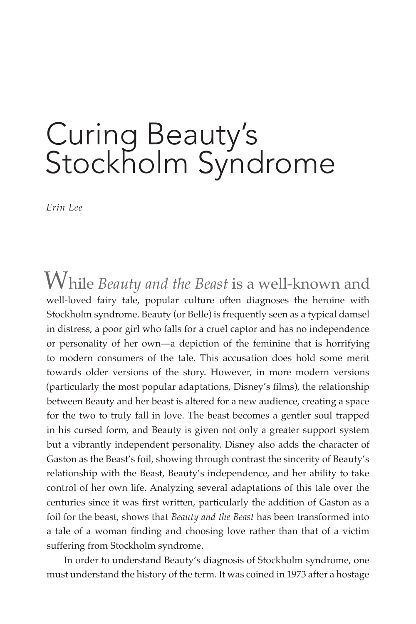# Curing Beauty's Stockholm Syndrome

*Erin Lee*

While *Beauty and the Beast* is a well-known and well-loved fairy tale, popular culture often diagnoses the heroine with Stockholm syndrome. Beauty (or Belle) is frequently seen as a typical damsel in distress, a poor girl who falls for a cruel captor and has no independence or personality of her own—a depiction of the feminine that is horrifying to modern consumers of the tale. This accusation does hold some merit towards older versions of the story. However, in more modern versions (particularly the most popular adaptations, Disney's films), the relationship between Beauty and her beast is altered for a new audience, creating a space for the two to truly fall in love. The beast becomes a gentler soul trapped in his cursed form, and Beauty is given not only a greater support system but a vibrantly independent personality. Disney also adds the character of Gaston as the Beast's foil, showing through contrast the sincerity of Beauty's relationship with the Beast, Beauty's independence, and her ability to take control of her own life. Analyzing several adaptations of this tale over the centuries since it was first written, particularly the addition of Gaston as a foil for the beast, shows that *Beauty and the Beast* has been transformed into a tale of a woman finding and choosing love rather than that of a victim suffering from Stockholm syndrome.

In order to understand Beauty's diagnosis of Stockholm syndrome, one must understand the history of the term. It was coined in 1973 after a hostage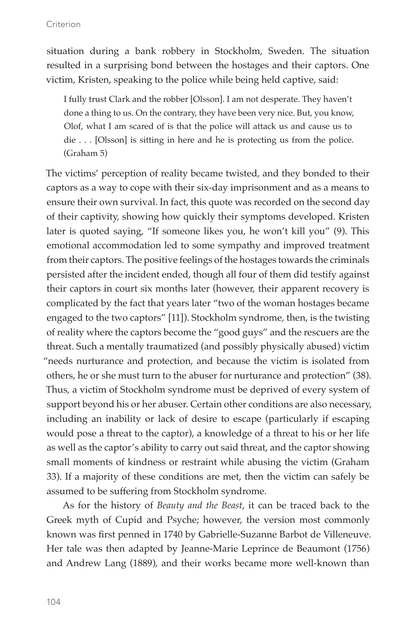situation during a bank robbery in Stockholm, Sweden. The situation resulted in a surprising bond between the hostages and their captors. One victim, Kristen, speaking to the police while being held captive, said:

I fully trust Clark and the robber [Olsson]. I am not desperate. They haven't done a thing to us. On the contrary, they have been very nice. But, you know, Olof, what I am scared of is that the police will attack us and cause us to die . . . [Olsson] is sitting in here and he is protecting us from the police. (Graham 5)

The victims' perception of reality became twisted, and they bonded to their captors as a way to cope with their six-day imprisonment and as a means to ensure their own survival. In fact, this quote was recorded on the second day of their captivity, showing how quickly their symptoms developed. Kristen later is quoted saying, "If someone likes you, he won't kill you" (9). This emotional accommodation led to some sympathy and improved treatment from their captors. The positive feelings of the hostages towards the criminals persisted after the incident ended, though all four of them did testify against their captors in court six months later (however, their apparent recovery is complicated by the fact that years later "two of the woman hostages became engaged to the two captors" [11]). Stockholm syndrome, then, is the twisting of reality where the captors become the "good guys" and the rescuers are the threat. Such a mentally traumatized (and possibly physically abused) victim "needs nurturance and protection, and because the victim is isolated from others, he or she must turn to the abuser for nurturance and protection" (38). Thus, a victim of Stockholm syndrome must be deprived of every system of support beyond his or her abuser. Certain other conditions are also necessary, including an inability or lack of desire to escape (particularly if escaping would pose a threat to the captor), a knowledge of a threat to his or her life as well as the captor's ability to carry out said threat, and the captor showing small moments of kindness or restraint while abusing the victim (Graham 33). If a majority of these conditions are met, then the victim can safely be assumed to be suffering from Stockholm syndrome.

As for the history of *Beauty and the Beast*, it can be traced back to the Greek myth of Cupid and Psyche; however, the version most commonly known was first penned in 1740 by Gabrielle-Suzanne Barbot de Villeneuve. Her tale was then adapted by Jeanne-Marie Leprince de Beaumont (1756) and Andrew Lang (1889), and their works became more well-known than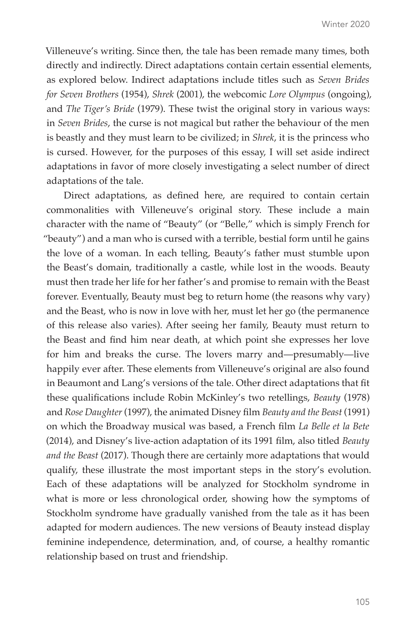Villeneuve's writing. Since then, the tale has been remade many times, both directly and indirectly. Direct adaptations contain certain essential elements, as explored below. Indirect adaptations include titles such as *Seven Brides for Seven Brothers* (1954), *Shrek* (2001), the webcomic *Lore Olympus* (ongoing), and *The Tiger's Bride* (1979). These twist the original story in various ways: in *Seven Brides*, the curse is not magical but rather the behaviour of the men is beastly and they must learn to be civilized; in *Shrek*, it is the princess who is cursed. However, for the purposes of this essay, I will set aside indirect adaptations in favor of more closely investigating a select number of direct adaptations of the tale.

Direct adaptations, as defined here, are required to contain certain commonalities with Villeneuve's original story. These include a main character with the name of "Beauty" (or "Belle," which is simply French for "beauty") and a man who is cursed with a terrible, bestial form until he gains the love of a woman. In each telling, Beauty's father must stumble upon the Beast's domain, traditionally a castle, while lost in the woods. Beauty must then trade her life for her father's and promise to remain with the Beast forever. Eventually, Beauty must beg to return home (the reasons why vary) and the Beast, who is now in love with her, must let her go (the permanence of this release also varies). After seeing her family, Beauty must return to the Beast and find him near death, at which point she expresses her love for him and breaks the curse. The lovers marry and—presumably—live happily ever after. These elements from Villeneuve's original are also found in Beaumont and Lang's versions of the tale. Other direct adaptations that fit these qualifications include Robin McKinley's two retellings, *Beauty* (1978) and *Rose Daughter* (1997), the animated Disney film *Beauty and the Beast* (1991) on which the Broadway musical was based, a French film *La Belle et la Bete*  (2014), and Disney's live-action adaptation of its 1991 film, also titled *Beauty and the Beast* (2017). Though there are certainly more adaptations that would qualify, these illustrate the most important steps in the story's evolution. Each of these adaptations will be analyzed for Stockholm syndrome in what is more or less chronological order, showing how the symptoms of Stockholm syndrome have gradually vanished from the tale as it has been adapted for modern audiences. The new versions of Beauty instead display feminine independence, determination, and, of course, a healthy romantic relationship based on trust and friendship.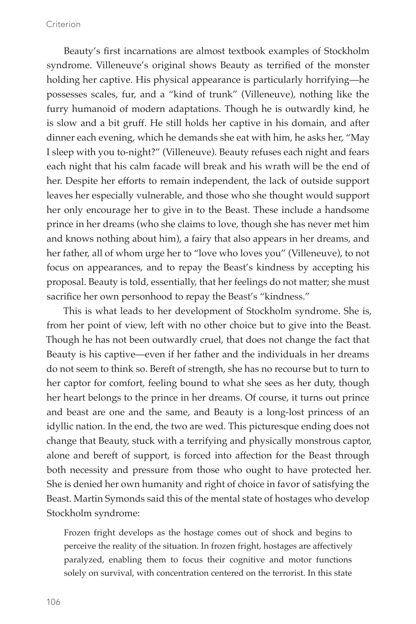Beauty's first incarnations are almost textbook examples of Stockholm syndrome. Villeneuve's original shows Beauty as terrified of the monster holding her captive. His physical appearance is particularly horrifying—he possesses scales, fur, and a "kind of trunk" (Villeneuve), nothing like the furry humanoid of modern adaptations. Though he is outwardly kind, he is slow and a bit gruff. He still holds her captive in his domain, and after dinner each evening, which he demands she eat with him, he asks her, "May I sleep with you to-night?" (Villeneuve). Beauty refuses each night and fears each night that his calm facade will break and his wrath will be the end of her. Despite her efforts to remain independent, the lack of outside support leaves her especially vulnerable, and those who she thought would support her only encourage her to give in to the Beast. These include a handsome prince in her dreams (who she claims to love, though she has never met him and knows nothing about him), a fairy that also appears in her dreams, and her father, all of whom urge her to "love who loves you" (Villeneuve), to not focus on appearances, and to repay the Beast's kindness by accepting his proposal. Beauty is told, essentially, that her feelings do not matter; she must sacrifice her own personhood to repay the Beast's "kindness."

This is what leads to her development of Stockholm syndrome. She is, from her point of view, left with no other choice but to give into the Beast. Though he has not been outwardly cruel, that does not change the fact that Beauty is his captive—even if her father and the individuals in her dreams do not seem to think so. Bereft of strength, she has no recourse but to turn to her captor for comfort, feeling bound to what she sees as her duty, though her heart belongs to the prince in her dreams. Of course, it turns out prince and beast are one and the same, and Beauty is a long-lost princess of an idyllic nation. In the end, the two are wed. This picturesque ending does not change that Beauty, stuck with a terrifying and physically monstrous captor, alone and bereft of support, is forced into affection for the Beast through both necessity and pressure from those who ought to have protected her. She is denied her own humanity and right of choice in favor of satisfying the Beast. Martin Symonds said this of the mental state of hostages who develop Stockholm syndrome:

Frozen fright develops as the hostage comes out of shock and begins to perceive the reality of the situation. In frozen fright, hostages are affectively paralyzed, enabling them to focus their cognitive and motor functions solely on survival, with concentration centered on the terrorist. In this state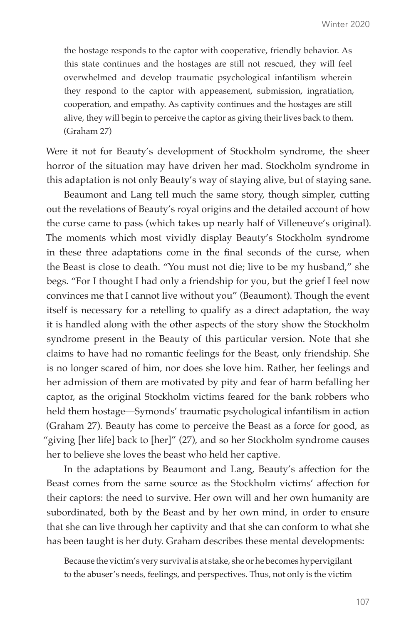the hostage responds to the captor with cooperative, friendly behavior. As this state continues and the hostages are still not rescued, they will feel overwhelmed and develop traumatic psychological infantilism wherein they respond to the captor with appeasement, submission, ingratiation, cooperation, and empathy. As captivity continues and the hostages are still alive, they will begin to perceive the captor as giving their lives back to them. (Graham 27)

Were it not for Beauty's development of Stockholm syndrome, the sheer horror of the situation may have driven her mad. Stockholm syndrome in this adaptation is not only Beauty's way of staying alive, but of staying sane.

Beaumont and Lang tell much the same story, though simpler, cutting out the revelations of Beauty's royal origins and the detailed account of how the curse came to pass (which takes up nearly half of Villeneuve's original). The moments which most vividly display Beauty's Stockholm syndrome in these three adaptations come in the final seconds of the curse, when the Beast is close to death. "You must not die; live to be my husband," she begs. "For I thought I had only a friendship for you, but the grief I feel now convinces me that I cannot live without you" (Beaumont). Though the event itself is necessary for a retelling to qualify as a direct adaptation, the way it is handled along with the other aspects of the story show the Stockholm syndrome present in the Beauty of this particular version. Note that she claims to have had no romantic feelings for the Beast, only friendship. She is no longer scared of him, nor does she love him. Rather, her feelings and her admission of them are motivated by pity and fear of harm befalling her captor, as the original Stockholm victims feared for the bank robbers who held them hostage—Symonds' traumatic psychological infantilism in action (Graham 27). Beauty has come to perceive the Beast as a force for good, as "giving [her life] back to [her]" (27), and so her Stockholm syndrome causes her to believe she loves the beast who held her captive.

In the adaptations by Beaumont and Lang, Beauty's affection for the Beast comes from the same source as the Stockholm victims' affection for their captors: the need to survive. Her own will and her own humanity are subordinated, both by the Beast and by her own mind, in order to ensure that she can live through her captivity and that she can conform to what she has been taught is her duty. Graham describes these mental developments:

Because the victim's very survival is at stake, she or he becomes hypervigilant to the abuser's needs, feelings, and perspectives. Thus, not only is the victim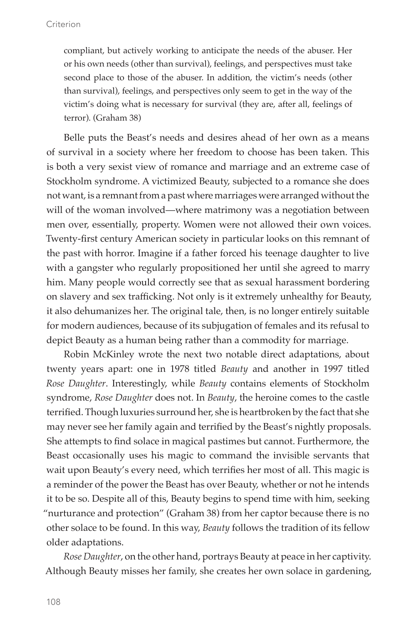compliant, but actively working to anticipate the needs of the abuser. Her or his own needs (other than survival), feelings, and perspectives must take second place to those of the abuser. In addition, the victim's needs (other than survival), feelings, and perspectives only seem to get in the way of the victim's doing what is necessary for survival (they are, after all, feelings of terror). (Graham 38)

Belle puts the Beast's needs and desires ahead of her own as a means of survival in a society where her freedom to choose has been taken. This is both a very sexist view of romance and marriage and an extreme case of Stockholm syndrome. A victimized Beauty, subjected to a romance she does not want, is a remnant from a past where marriages were arranged without the will of the woman involved—where matrimony was a negotiation between men over, essentially, property. Women were not allowed their own voices. Twenty-first century American society in particular looks on this remnant of the past with horror. Imagine if a father forced his teenage daughter to live with a gangster who regularly propositioned her until she agreed to marry him. Many people would correctly see that as sexual harassment bordering on slavery and sex trafficking. Not only is it extremely unhealthy for Beauty, it also dehumanizes her. The original tale, then, is no longer entirely suitable for modern audiences, because of its subjugation of females and its refusal to depict Beauty as a human being rather than a commodity for marriage.

Robin McKinley wrote the next two notable direct adaptations, about twenty years apart: one in 1978 titled *Beauty* and another in 1997 titled *Rose Daughter*. Interestingly, while *Beauty* contains elements of Stockholm syndrome, *Rose Daughter* does not. In *Beauty*, the heroine comes to the castle terrified. Though luxuries surround her, she is heartbroken by the fact that she may never see her family again and terrified by the Beast's nightly proposals. She attempts to find solace in magical pastimes but cannot. Furthermore, the Beast occasionally uses his magic to command the invisible servants that wait upon Beauty's every need, which terrifies her most of all. This magic is a reminder of the power the Beast has over Beauty, whether or not he intends it to be so. Despite all of this, Beauty begins to spend time with him, seeking "nurturance and protection" (Graham 38) from her captor because there is no other solace to be found. In this way, *Beauty* follows the tradition of its fellow older adaptations.

*Rose Daughter*, on the other hand, portrays Beauty at peace in her captivity. Although Beauty misses her family, she creates her own solace in gardening,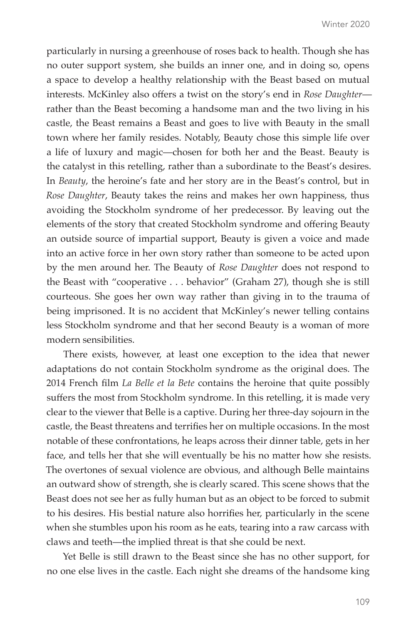particularly in nursing a greenhouse of roses back to health. Though she has no outer support system, she builds an inner one, and in doing so, opens a space to develop a healthy relationship with the Beast based on mutual interests. McKinley also offers a twist on the story's end in *Rose Daughter* rather than the Beast becoming a handsome man and the two living in his castle, the Beast remains a Beast and goes to live with Beauty in the small town where her family resides. Notably, Beauty chose this simple life over a life of luxury and magic—chosen for both her and the Beast. Beauty is the catalyst in this retelling, rather than a subordinate to the Beast's desires. In *Beauty*, the heroine's fate and her story are in the Beast's control, but in *Rose Daughter*, Beauty takes the reins and makes her own happiness, thus avoiding the Stockholm syndrome of her predecessor. By leaving out the elements of the story that created Stockholm syndrome and offering Beauty an outside source of impartial support, Beauty is given a voice and made into an active force in her own story rather than someone to be acted upon by the men around her. The Beauty of *Rose Daughter* does not respond to the Beast with "cooperative . . . behavior" (Graham 27), though she is still courteous. She goes her own way rather than giving in to the trauma of being imprisoned. It is no accident that McKinley's newer telling contains less Stockholm syndrome and that her second Beauty is a woman of more modern sensibilities.

There exists, however, at least one exception to the idea that newer adaptations do not contain Stockholm syndrome as the original does. The 2014 French film *La Belle et la Bete* contains the heroine that quite possibly suffers the most from Stockholm syndrome. In this retelling, it is made very clear to the viewer that Belle is a captive. During her three-day sojourn in the castle, the Beast threatens and terrifies her on multiple occasions. In the most notable of these confrontations, he leaps across their dinner table, gets in her face, and tells her that she will eventually be his no matter how she resists. The overtones of sexual violence are obvious, and although Belle maintains an outward show of strength, she is clearly scared. This scene shows that the Beast does not see her as fully human but as an object to be forced to submit to his desires. His bestial nature also horrifies her, particularly in the scene when she stumbles upon his room as he eats, tearing into a raw carcass with claws and teeth—the implied threat is that she could be next.

Yet Belle is still drawn to the Beast since she has no other support, for no one else lives in the castle. Each night she dreams of the handsome king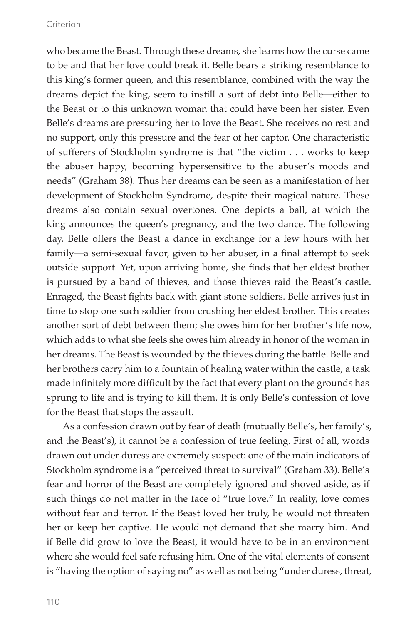who became the Beast. Through these dreams, she learns how the curse came to be and that her love could break it. Belle bears a striking resemblance to this king's former queen, and this resemblance, combined with the way the dreams depict the king, seem to instill a sort of debt into Belle—either to the Beast or to this unknown woman that could have been her sister. Even Belle's dreams are pressuring her to love the Beast. She receives no rest and no support, only this pressure and the fear of her captor. One characteristic of sufferers of Stockholm syndrome is that "the victim . . . works to keep the abuser happy, becoming hypersensitive to the abuser's moods and needs" (Graham 38). Thus her dreams can be seen as a manifestation of her development of Stockholm Syndrome, despite their magical nature. These dreams also contain sexual overtones. One depicts a ball, at which the king announces the queen's pregnancy, and the two dance. The following day, Belle offers the Beast a dance in exchange for a few hours with her family—a semi-sexual favor, given to her abuser, in a final attempt to seek outside support. Yet, upon arriving home, she finds that her eldest brother is pursued by a band of thieves, and those thieves raid the Beast's castle. Enraged, the Beast fights back with giant stone soldiers. Belle arrives just in time to stop one such soldier from crushing her eldest brother. This creates another sort of debt between them; she owes him for her brother's life now, which adds to what she feels she owes him already in honor of the woman in her dreams. The Beast is wounded by the thieves during the battle. Belle and her brothers carry him to a fountain of healing water within the castle, a task made infinitely more difficult by the fact that every plant on the grounds has sprung to life and is trying to kill them. It is only Belle's confession of love for the Beast that stops the assault.

As a confession drawn out by fear of death (mutually Belle's, her family's, and the Beast's), it cannot be a confession of true feeling. First of all, words drawn out under duress are extremely suspect: one of the main indicators of Stockholm syndrome is a "perceived threat to survival" (Graham 33). Belle's fear and horror of the Beast are completely ignored and shoved aside, as if such things do not matter in the face of "true love." In reality, love comes without fear and terror. If the Beast loved her truly, he would not threaten her or keep her captive. He would not demand that she marry him. And if Belle did grow to love the Beast, it would have to be in an environment where she would feel safe refusing him. One of the vital elements of consent is "having the option of saying no" as well as not being "under duress, threat,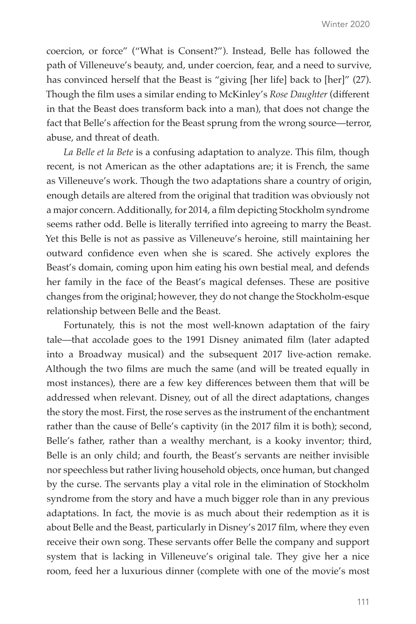coercion, or force" ("What is Consent?"). Instead, Belle has followed the path of Villeneuve's beauty, and, under coercion, fear, and a need to survive, has convinced herself that the Beast is "giving [her life] back to [her]" (27). Though the film uses a similar ending to McKinley's *Rose Daughter* (different in that the Beast does transform back into a man), that does not change the fact that Belle's affection for the Beast sprung from the wrong source—terror, abuse, and threat of death.

*La Belle et la Bete* is a confusing adaptation to analyze. This film, though recent, is not American as the other adaptations are; it is French, the same as Villeneuve's work. Though the two adaptations share a country of origin, enough details are altered from the original that tradition was obviously not a major concern. Additionally, for 2014, a film depicting Stockholm syndrome seems rather odd. Belle is literally terrified into agreeing to marry the Beast. Yet this Belle is not as passive as Villeneuve's heroine, still maintaining her outward confidence even when she is scared. She actively explores the Beast's domain, coming upon him eating his own bestial meal, and defends her family in the face of the Beast's magical defenses. These are positive changes from the original; however, they do not change the Stockholm-esque relationship between Belle and the Beast.

Fortunately, this is not the most well-known adaptation of the fairy tale—that accolade goes to the 1991 Disney animated film (later adapted into a Broadway musical) and the subsequent 2017 live-action remake. Although the two films are much the same (and will be treated equally in most instances), there are a few key differences between them that will be addressed when relevant. Disney, out of all the direct adaptations, changes the story the most. First, the rose serves as the instrument of the enchantment rather than the cause of Belle's captivity (in the 2017 film it is both); second, Belle's father, rather than a wealthy merchant, is a kooky inventor; third, Belle is an only child; and fourth, the Beast's servants are neither invisible nor speechless but rather living household objects, once human, but changed by the curse. The servants play a vital role in the elimination of Stockholm syndrome from the story and have a much bigger role than in any previous adaptations. In fact, the movie is as much about their redemption as it is about Belle and the Beast, particularly in Disney's 2017 film, where they even receive their own song. These servants offer Belle the company and support system that is lacking in Villeneuve's original tale. They give her a nice room, feed her a luxurious dinner (complete with one of the movie's most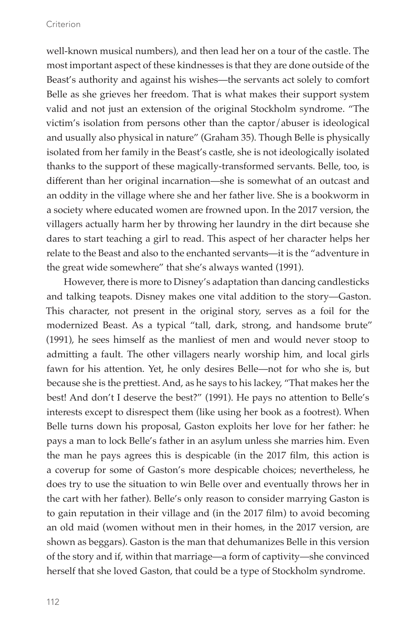well-known musical numbers), and then lead her on a tour of the castle. The most important aspect of these kindnesses is that they are done outside of the Beast's authority and against his wishes—the servants act solely to comfort Belle as she grieves her freedom. That is what makes their support system valid and not just an extension of the original Stockholm syndrome. "The victim's isolation from persons other than the captor/abuser is ideological and usually also physical in nature" (Graham 35). Though Belle is physically isolated from her family in the Beast's castle, she is not ideologically isolated thanks to the support of these magically-transformed servants. Belle, too, is different than her original incarnation—she is somewhat of an outcast and an oddity in the village where she and her father live. She is a bookworm in a society where educated women are frowned upon. In the 2017 version, the villagers actually harm her by throwing her laundry in the dirt because she dares to start teaching a girl to read. This aspect of her character helps her relate to the Beast and also to the enchanted servants—it is the "adventure in the great wide somewhere" that she's always wanted (1991).

However, there is more to Disney's adaptation than dancing candlesticks and talking teapots. Disney makes one vital addition to the story—Gaston. This character, not present in the original story, serves as a foil for the modernized Beast. As a typical "tall, dark, strong, and handsome brute" (1991), he sees himself as the manliest of men and would never stoop to admitting a fault. The other villagers nearly worship him, and local girls fawn for his attention. Yet, he only desires Belle—not for who she is, but because she is the prettiest. And, as he says to his lackey, "That makes her the best! And don't I deserve the best?" (1991). He pays no attention to Belle's interests except to disrespect them (like using her book as a footrest). When Belle turns down his proposal, Gaston exploits her love for her father: he pays a man to lock Belle's father in an asylum unless she marries him. Even the man he pays agrees this is despicable (in the 2017 film, this action is a coverup for some of Gaston's more despicable choices; nevertheless, he does try to use the situation to win Belle over and eventually throws her in the cart with her father). Belle's only reason to consider marrying Gaston is to gain reputation in their village and (in the 2017 film) to avoid becoming an old maid (women without men in their homes, in the 2017 version, are shown as beggars). Gaston is the man that dehumanizes Belle in this version of the story and if, within that marriage—a form of captivity—she convinced herself that she loved Gaston, that could be a type of Stockholm syndrome.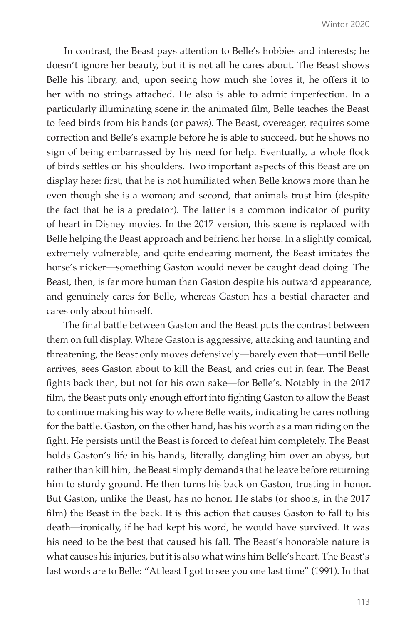In contrast, the Beast pays attention to Belle's hobbies and interests; he doesn't ignore her beauty, but it is not all he cares about. The Beast shows Belle his library, and, upon seeing how much she loves it, he offers it to her with no strings attached. He also is able to admit imperfection. In a particularly illuminating scene in the animated film, Belle teaches the Beast to feed birds from his hands (or paws). The Beast, overeager, requires some correction and Belle's example before he is able to succeed, but he shows no sign of being embarrassed by his need for help. Eventually, a whole flock of birds settles on his shoulders. Two important aspects of this Beast are on display here: first, that he is not humiliated when Belle knows more than he even though she is a woman; and second, that animals trust him (despite the fact that he is a predator). The latter is a common indicator of purity of heart in Disney movies. In the 2017 version, this scene is replaced with Belle helping the Beast approach and befriend her horse. In a slightly comical, extremely vulnerable, and quite endearing moment, the Beast imitates the horse's nicker—something Gaston would never be caught dead doing. The Beast, then, is far more human than Gaston despite his outward appearance, and genuinely cares for Belle, whereas Gaston has a bestial character and cares only about himself.

The final battle between Gaston and the Beast puts the contrast between them on full display. Where Gaston is aggressive, attacking and taunting and threatening, the Beast only moves defensively—barely even that—until Belle arrives, sees Gaston about to kill the Beast, and cries out in fear. The Beast fights back then, but not for his own sake—for Belle's. Notably in the 2017 film, the Beast puts only enough effort into fighting Gaston to allow the Beast to continue making his way to where Belle waits, indicating he cares nothing for the battle. Gaston, on the other hand, has his worth as a man riding on the fight. He persists until the Beast is forced to defeat him completely. The Beast holds Gaston's life in his hands, literally, dangling him over an abyss, but rather than kill him, the Beast simply demands that he leave before returning him to sturdy ground. He then turns his back on Gaston, trusting in honor. But Gaston, unlike the Beast, has no honor. He stabs (or shoots, in the 2017 film) the Beast in the back. It is this action that causes Gaston to fall to his death—ironically, if he had kept his word, he would have survived. It was his need to be the best that caused his fall. The Beast's honorable nature is what causes his injuries, but it is also what wins him Belle's heart. The Beast's last words are to Belle: "At least I got to see you one last time" (1991). In that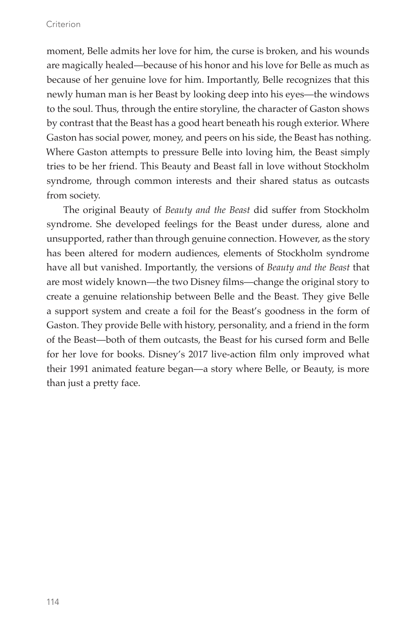moment, Belle admits her love for him, the curse is broken, and his wounds are magically healed—because of his honor and his love for Belle as much as because of her genuine love for him. Importantly, Belle recognizes that this newly human man is her Beast by looking deep into his eyes—the windows to the soul. Thus, through the entire storyline, the character of Gaston shows by contrast that the Beast has a good heart beneath his rough exterior. Where Gaston has social power, money, and peers on his side, the Beast has nothing. Where Gaston attempts to pressure Belle into loving him, the Beast simply tries to be her friend. This Beauty and Beast fall in love without Stockholm syndrome, through common interests and their shared status as outcasts from society.

The original Beauty of *Beauty and the Beast* did suffer from Stockholm syndrome. She developed feelings for the Beast under duress, alone and unsupported, rather than through genuine connection. However, as the story has been altered for modern audiences, elements of Stockholm syndrome have all but vanished. Importantly, the versions of *Beauty and the Beast* that are most widely known—the two Disney films—change the original story to create a genuine relationship between Belle and the Beast. They give Belle a support system and create a foil for the Beast's goodness in the form of Gaston. They provide Belle with history, personality, and a friend in the form of the Beast—both of them outcasts, the Beast for his cursed form and Belle for her love for books. Disney's 2017 live-action film only improved what their 1991 animated feature began—a story where Belle, or Beauty, is more than just a pretty face.